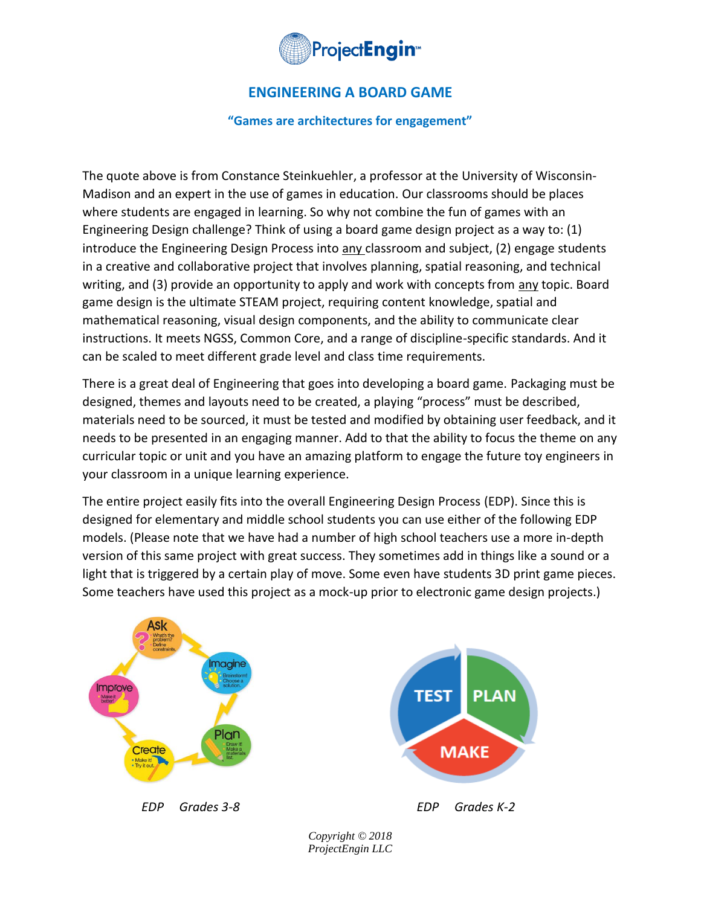

# **ENGINEERING A BOARD GAME**

**"Games are architectures for engagement"**

The quote above is from Constance Steinkuehler, a professor at the University of Wisconsin-Madison and an expert in the use of games in education. Our classrooms should be places where students are engaged in learning. So why not combine the fun of games with an Engineering Design challenge? Think of using a board game design project as a way to: (1) introduce the Engineering Design Process into any classroom and subject, (2) engage students in a creative and collaborative project that involves planning, spatial reasoning, and technical writing, and (3) provide an opportunity to apply and work with concepts from any topic. Board game design is the ultimate STEAM project, requiring content knowledge, spatial and mathematical reasoning, visual design components, and the ability to communicate clear instructions. It meets NGSS, Common Core, and a range of discipline-specific standards. And it can be scaled to meet different grade level and class time requirements.

There is a great deal of Engineering that goes into developing a board game. Packaging must be designed, themes and layouts need to be created, a playing "process" must be described, materials need to be sourced, it must be tested and modified by obtaining user feedback, and it needs to be presented in an engaging manner. Add to that the ability to focus the theme on any curricular topic or unit and you have an amazing platform to engage the future toy engineers in your classroom in a unique learning experience.

The entire project easily fits into the overall Engineering Design Process (EDP). Since this is designed for elementary and middle school students you can use either of the following EDP models. (Please note that we have had a number of high school teachers use a more in-depth version of this same project with great success. They sometimes add in things like a sound or a light that is triggered by a certain play of move. Some even have students 3D print game pieces. Some teachers have used this project as a mock-up prior to electronic game design projects.)

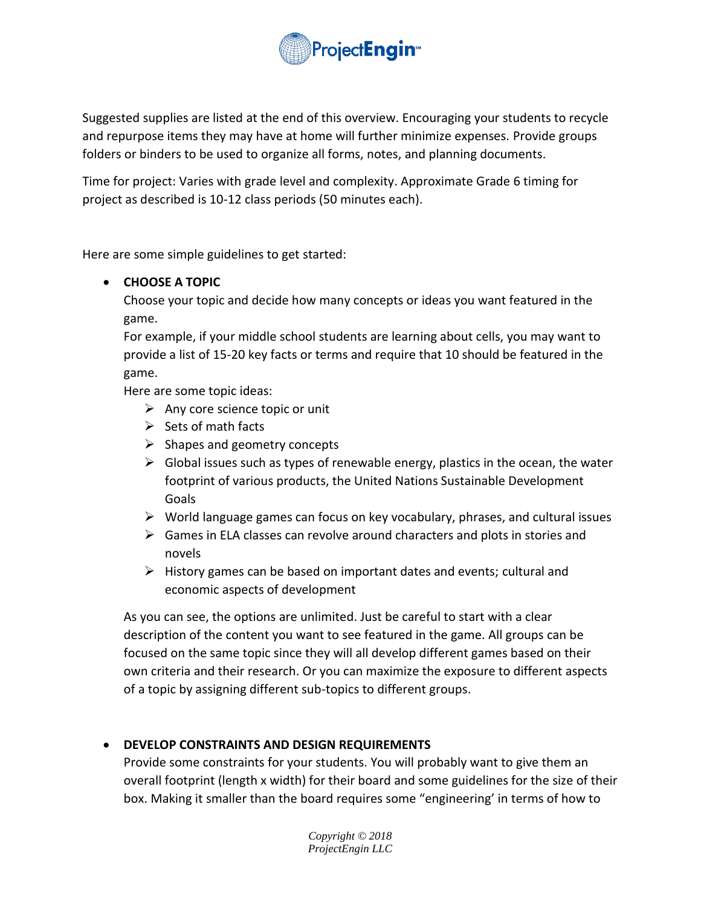

Suggested supplies are listed at the end of this overview. Encouraging your students to recycle and repurpose items they may have at home will further minimize expenses. Provide groups folders or binders to be used to organize all forms, notes, and planning documents.

Time for project: Varies with grade level and complexity. Approximate Grade 6 timing for project as described is 10-12 class periods (50 minutes each).

Here are some simple guidelines to get started:

## • **CHOOSE A TOPIC**

Choose your topic and decide how many concepts or ideas you want featured in the game.

For example, if your middle school students are learning about cells, you may want to provide a list of 15-20 key facts or terms and require that 10 should be featured in the game.

Here are some topic ideas:

- $\triangleright$  Any core science topic or unit
- $\triangleright$  Sets of math facts
- $\triangleright$  Shapes and geometry concepts
- $\triangleright$  Global issues such as types of renewable energy, plastics in the ocean, the water footprint of various products, the United Nations Sustainable Development Goals
- ➢ World language games can focus on key vocabulary, phrases, and cultural issues
- $\triangleright$  Games in ELA classes can revolve around characters and plots in stories and novels
- $\triangleright$  History games can be based on important dates and events; cultural and economic aspects of development

As you can see, the options are unlimited. Just be careful to start with a clear description of the content you want to see featured in the game. All groups can be focused on the same topic since they will all develop different games based on their own criteria and their research. Or you can maximize the exposure to different aspects of a topic by assigning different sub-topics to different groups.

## • **DEVELOP CONSTRAINTS AND DESIGN REQUIREMENTS**

Provide some constraints for your students. You will probably want to give them an overall footprint (length x width) for their board and some guidelines for the size of their box. Making it smaller than the board requires some "engineering' in terms of how to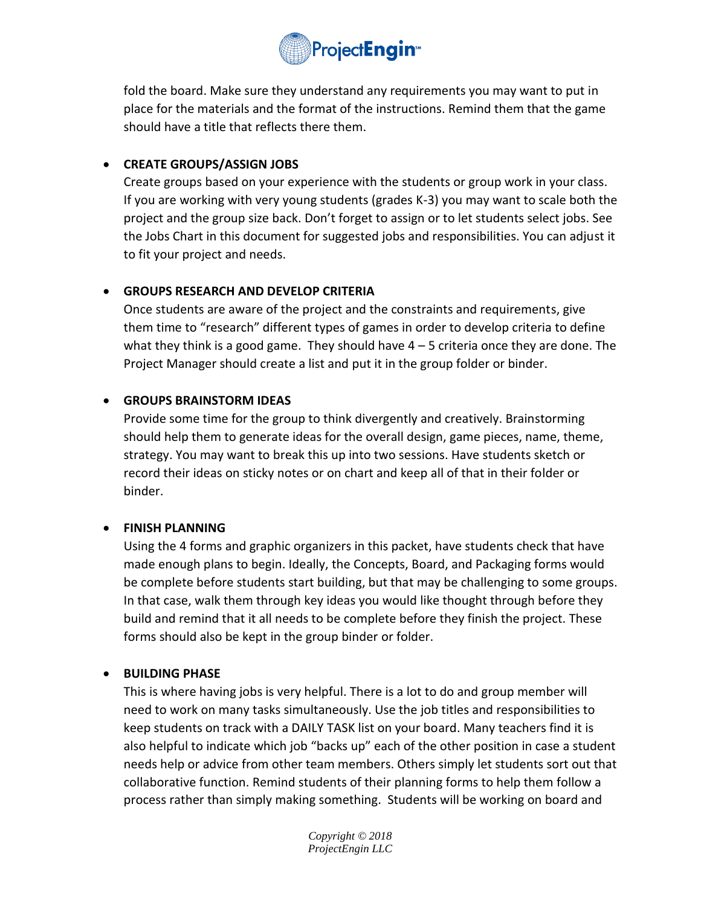

fold the board. Make sure they understand any requirements you may want to put in place for the materials and the format of the instructions. Remind them that the game should have a title that reflects there them.

# • **CREATE GROUPS/ASSIGN JOBS**

Create groups based on your experience with the students or group work in your class. If you are working with very young students (grades K-3) you may want to scale both the project and the group size back. Don't forget to assign or to let students select jobs. See the Jobs Chart in this document for suggested jobs and responsibilities. You can adjust it to fit your project and needs.

# • **GROUPS RESEARCH AND DEVELOP CRITERIA**

Once students are aware of the project and the constraints and requirements, give them time to "research" different types of games in order to develop criteria to define what they think is a good game. They should have  $4 - 5$  criteria once they are done. The Project Manager should create a list and put it in the group folder or binder.

## • **GROUPS BRAINSTORM IDEAS**

Provide some time for the group to think divergently and creatively. Brainstorming should help them to generate ideas for the overall design, game pieces, name, theme, strategy. You may want to break this up into two sessions. Have students sketch or record their ideas on sticky notes or on chart and keep all of that in their folder or binder.

## • **FINISH PLANNING**

Using the 4 forms and graphic organizers in this packet, have students check that have made enough plans to begin. Ideally, the Concepts, Board, and Packaging forms would be complete before students start building, but that may be challenging to some groups. In that case, walk them through key ideas you would like thought through before they build and remind that it all needs to be complete before they finish the project. These forms should also be kept in the group binder or folder.

## • **BUILDING PHASE**

This is where having jobs is very helpful. There is a lot to do and group member will need to work on many tasks simultaneously. Use the job titles and responsibilities to keep students on track with a DAILY TASK list on your board. Many teachers find it is also helpful to indicate which job "backs up" each of the other position in case a student needs help or advice from other team members. Others simply let students sort out that collaborative function. Remind students of their planning forms to help them follow a process rather than simply making something. Students will be working on board and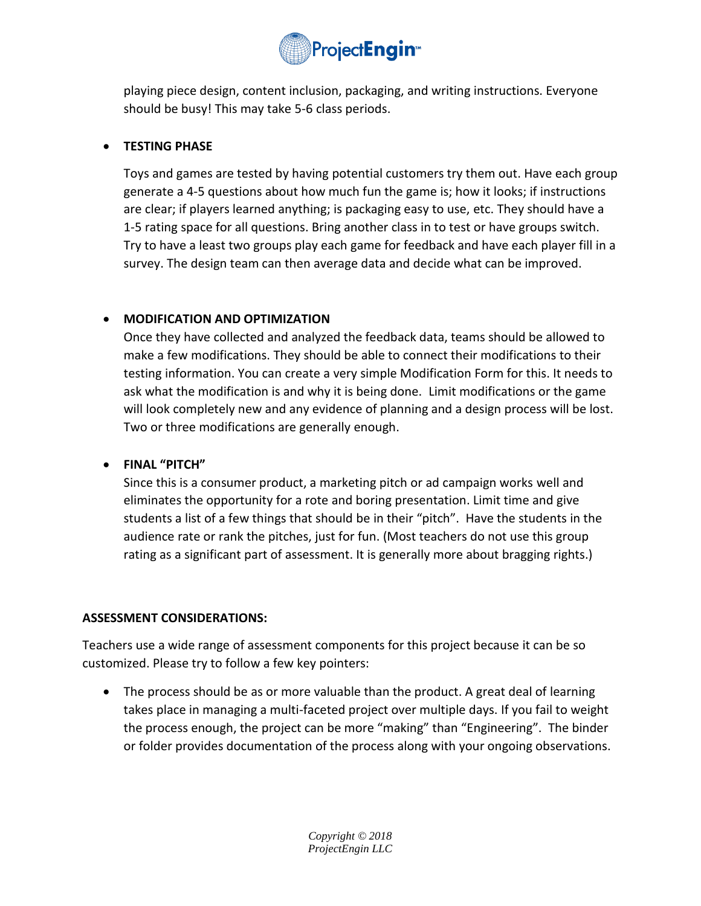

playing piece design, content inclusion, packaging, and writing instructions. Everyone should be busy! This may take 5-6 class periods.

## • **TESTING PHASE**

Toys and games are tested by having potential customers try them out. Have each group generate a 4-5 questions about how much fun the game is; how it looks; if instructions are clear; if players learned anything; is packaging easy to use, etc. They should have a 1-5 rating space for all questions. Bring another class in to test or have groups switch. Try to have a least two groups play each game for feedback and have each player fill in a survey. The design team can then average data and decide what can be improved.

# • **MODIFICATION AND OPTIMIZATION**

Once they have collected and analyzed the feedback data, teams should be allowed to make a few modifications. They should be able to connect their modifications to their testing information. You can create a very simple Modification Form for this. It needs to ask what the modification is and why it is being done. Limit modifications or the game will look completely new and any evidence of planning and a design process will be lost. Two or three modifications are generally enough.

## • **FINAL "PITCH"**

Since this is a consumer product, a marketing pitch or ad campaign works well and eliminates the opportunity for a rote and boring presentation. Limit time and give students a list of a few things that should be in their "pitch". Have the students in the audience rate or rank the pitches, just for fun. (Most teachers do not use this group rating as a significant part of assessment. It is generally more about bragging rights.)

## **ASSESSMENT CONSIDERATIONS:**

Teachers use a wide range of assessment components for this project because it can be so customized. Please try to follow a few key pointers:

• The process should be as or more valuable than the product. A great deal of learning takes place in managing a multi-faceted project over multiple days. If you fail to weight the process enough, the project can be more "making" than "Engineering". The binder or folder provides documentation of the process along with your ongoing observations.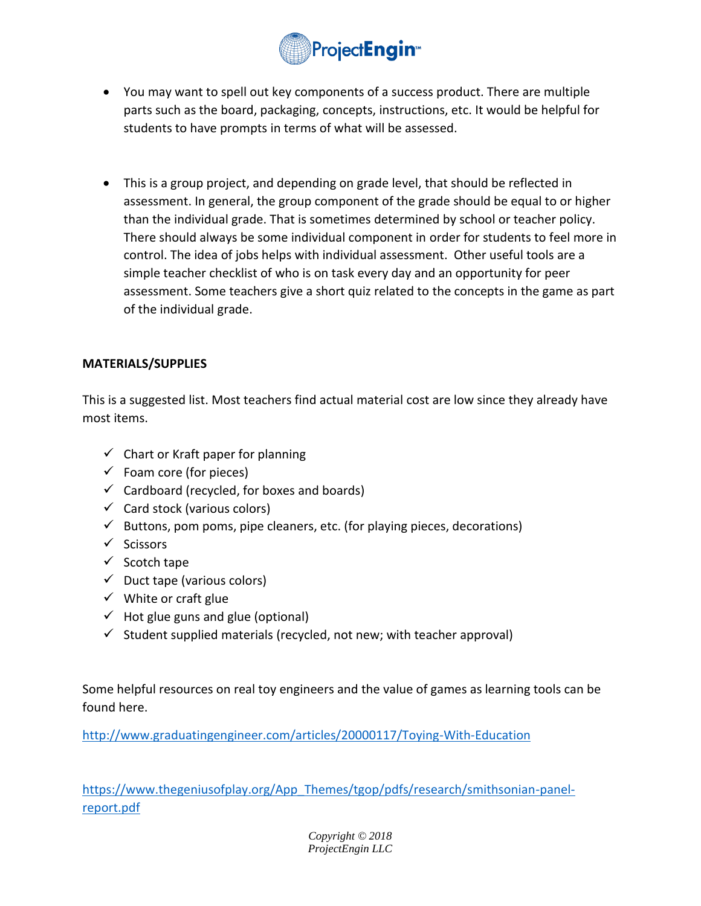

- You may want to spell out key components of a success product. There are multiple parts such as the board, packaging, concepts, instructions, etc. It would be helpful for students to have prompts in terms of what will be assessed.
- This is a group project, and depending on grade level, that should be reflected in assessment. In general, the group component of the grade should be equal to or higher than the individual grade. That is sometimes determined by school or teacher policy. There should always be some individual component in order for students to feel more in control. The idea of jobs helps with individual assessment. Other useful tools are a simple teacher checklist of who is on task every day and an opportunity for peer assessment. Some teachers give a short quiz related to the concepts in the game as part of the individual grade.

#### **MATERIALS/SUPPLIES**

This is a suggested list. Most teachers find actual material cost are low since they already have most items.

- $\checkmark$  Chart or Kraft paper for planning
- $\checkmark$  Foam core (for pieces)
- $\checkmark$  Cardboard (recycled, for boxes and boards)
- $\checkmark$  Card stock (various colors)
- $\checkmark$  Buttons, pom poms, pipe cleaners, etc. (for playing pieces, decorations)
- ✓ Scissors
- ✓ Scotch tape
- $\checkmark$  Duct tape (various colors)
- $\checkmark$  White or craft glue
- $\checkmark$  Hot glue guns and glue (optional)
- $\checkmark$  Student supplied materials (recycled, not new; with teacher approval)

Some helpful resources on real toy engineers and the value of games as learning tools can be found here.

<http://www.graduatingengineer.com/articles/20000117/Toying-With-Education>

[https://www.thegeniusofplay.org/App\\_Themes/tgop/pdfs/research/smithsonian-panel](https://www.thegeniusofplay.org/App_Themes/tgop/pdfs/research/smithsonian-panel-report.pdf)[report.pdf](https://www.thegeniusofplay.org/App_Themes/tgop/pdfs/research/smithsonian-panel-report.pdf)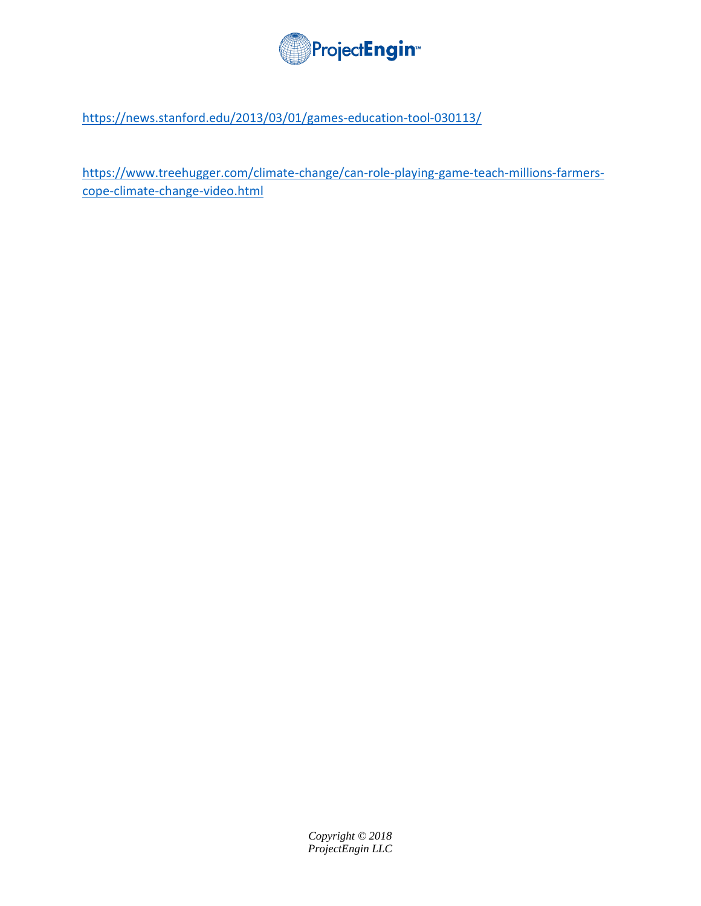

<https://news.stanford.edu/2013/03/01/games-education-tool-030113/>

[https://www.treehugger.com/climate-change/can-role-playing-game-teach-millions-farmers](https://www.treehugger.com/climate-change/can-role-playing-game-teach-millions-farmers-cope-climate-change-video.html)[cope-climate-change-video.html](https://www.treehugger.com/climate-change/can-role-playing-game-teach-millions-farmers-cope-climate-change-video.html)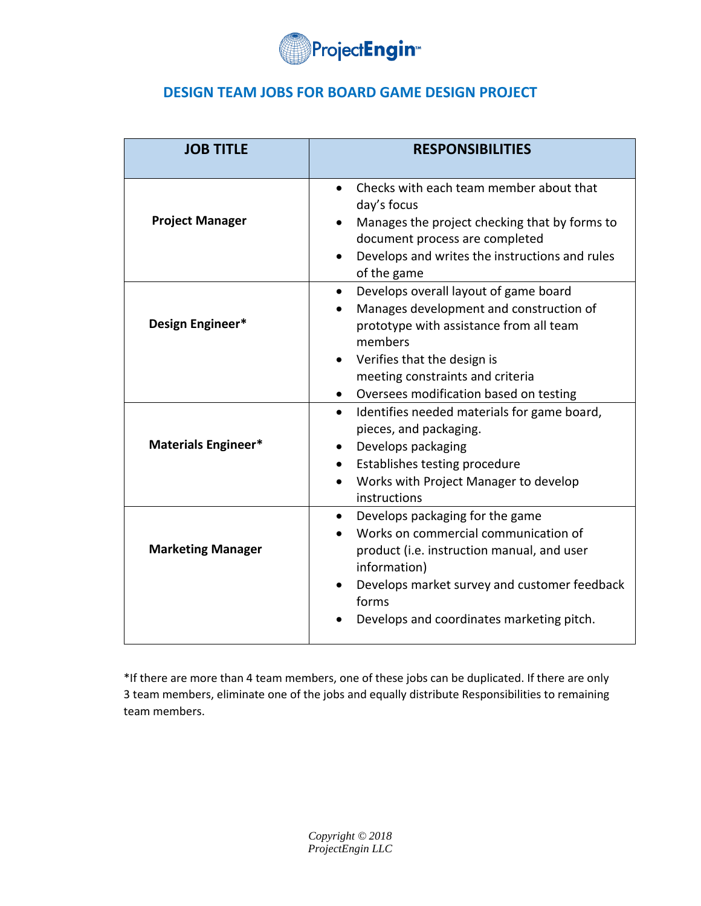

# **DESIGN TEAM JOBS FOR BOARD GAME DESIGN PROJECT**

| <b>JOB TITLE</b>         | <b>RESPONSIBILITIES</b>                                                                                                                                                                                                                                                         |
|--------------------------|---------------------------------------------------------------------------------------------------------------------------------------------------------------------------------------------------------------------------------------------------------------------------------|
| <b>Project Manager</b>   | Checks with each team member about that<br>$\bullet$<br>day's focus<br>Manages the project checking that by forms to<br>document process are completed<br>Develops and writes the instructions and rules<br>$\bullet$<br>of the game                                            |
| Design Engineer*         | Develops overall layout of game board<br>$\bullet$<br>Manages development and construction of<br>$\bullet$<br>prototype with assistance from all team<br>members<br>• Verifies that the design is<br>meeting constraints and criteria<br>Oversees modification based on testing |
| Materials Engineer*      | Identifies needed materials for game board,<br>$\bullet$<br>pieces, and packaging.<br>Develops packaging<br>Establishes testing procedure<br>Works with Project Manager to develop<br>instructions                                                                              |
| <b>Marketing Manager</b> | Develops packaging for the game<br>$\bullet$<br>Works on commercial communication of<br>product (i.e. instruction manual, and user<br>information)<br>Develops market survey and customer feedback<br>forms<br>Develops and coordinates marketing pitch.                        |

\*If there are more than 4 team members, one of these jobs can be duplicated. If there are only 3 team members, eliminate one of the jobs and equally distribute Responsibilities to remaining team members.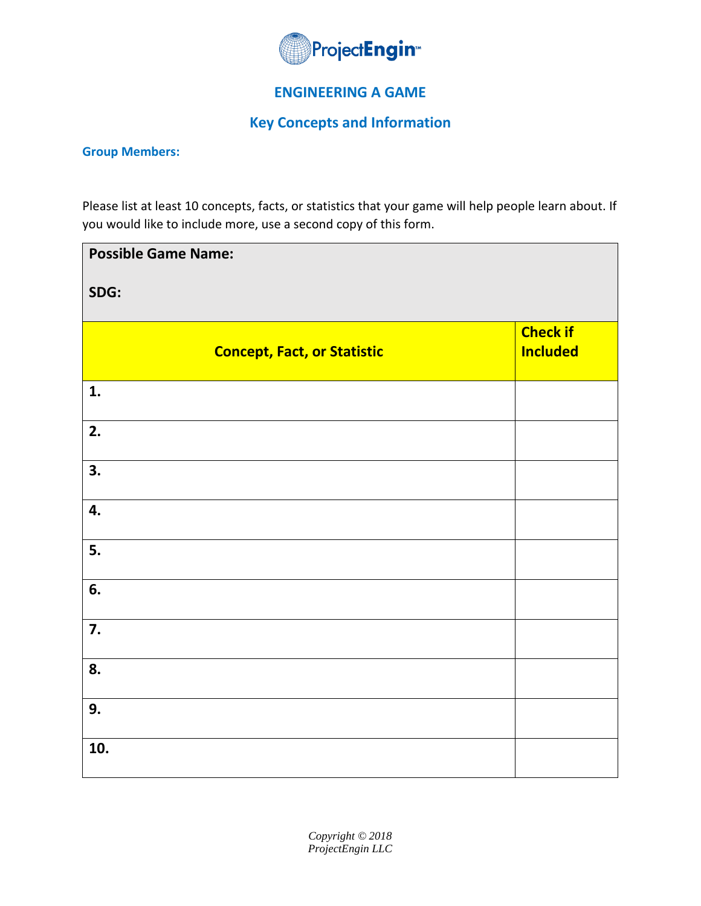

# **ENGINEERING A GAME**

# **Key Concepts and Information**

#### **Group Members:**

Please list at least 10 concepts, facts, or statistics that your game will help people learn about. If you would like to include more, use a second copy of this form.

| <b>Possible Game Name:</b>         |                                    |  |
|------------------------------------|------------------------------------|--|
| SDG:                               |                                    |  |
| <b>Concept, Fact, or Statistic</b> | <b>Check if</b><br><b>Included</b> |  |
| 1.                                 |                                    |  |
| 2.                                 |                                    |  |
| 3.                                 |                                    |  |
| 4.                                 |                                    |  |
| 5.                                 |                                    |  |
| 6.                                 |                                    |  |
| 7.                                 |                                    |  |
| 8.                                 |                                    |  |
| 9.                                 |                                    |  |
| 10.                                |                                    |  |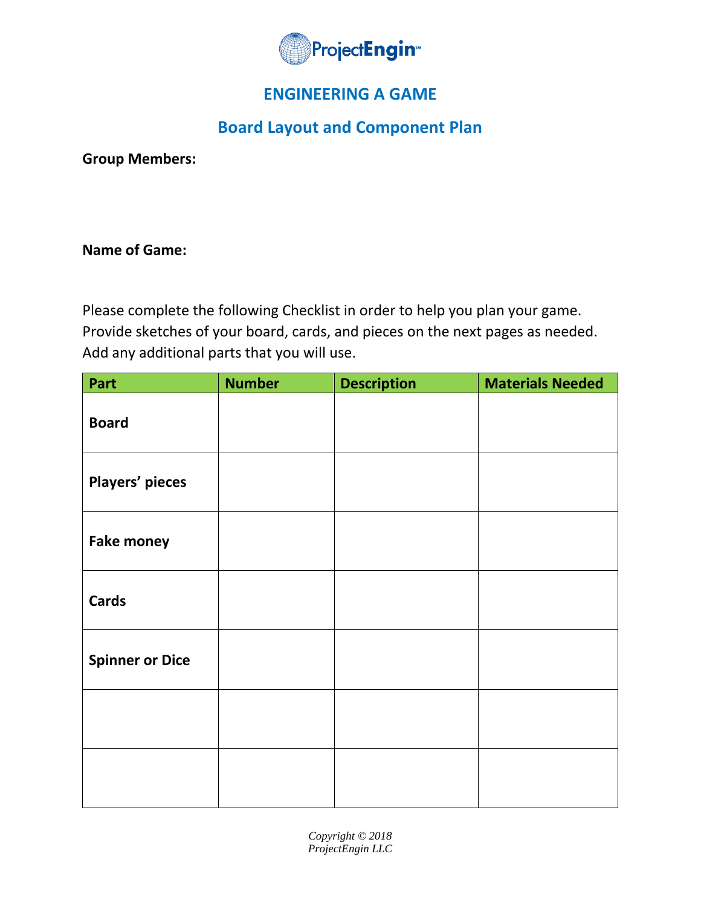

# **ENGINEERING A GAME**

# **Board Layout and Component Plan**

**Group Members:**

# **Name of Game:**

Please complete the following Checklist in order to help you plan your game. Provide sketches of your board, cards, and pieces on the next pages as needed. Add any additional parts that you will use.

| Part                   | <b>Number</b> | <b>Description</b> | <b>Materials Needed</b> |
|------------------------|---------------|--------------------|-------------------------|
| <b>Board</b>           |               |                    |                         |
| Players' pieces        |               |                    |                         |
| <b>Fake money</b>      |               |                    |                         |
| <b>Cards</b>           |               |                    |                         |
| <b>Spinner or Dice</b> |               |                    |                         |
|                        |               |                    |                         |
|                        |               |                    |                         |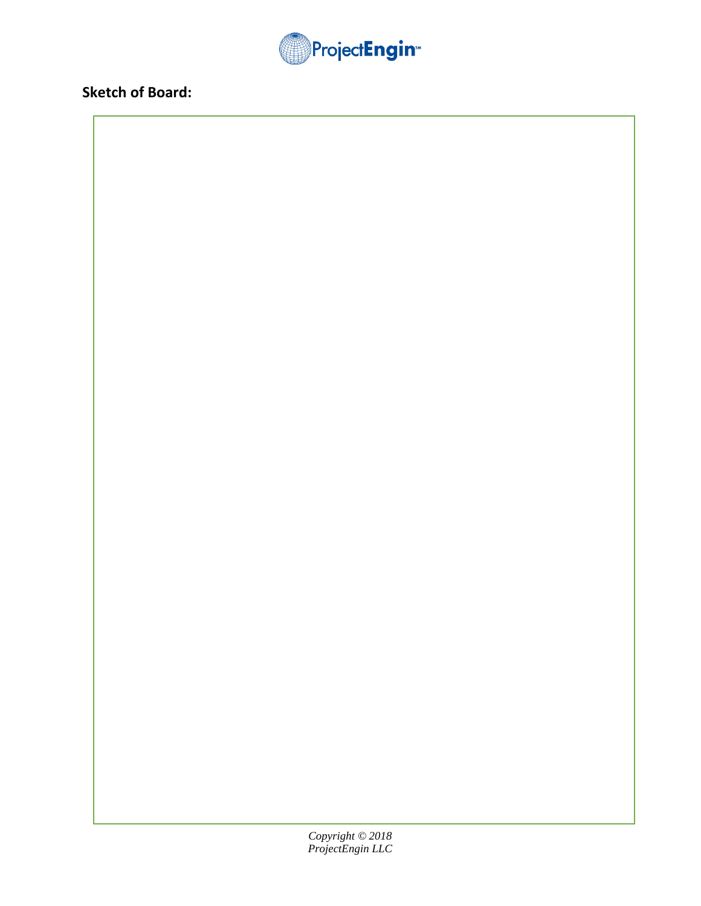

# **Sketch of Board:**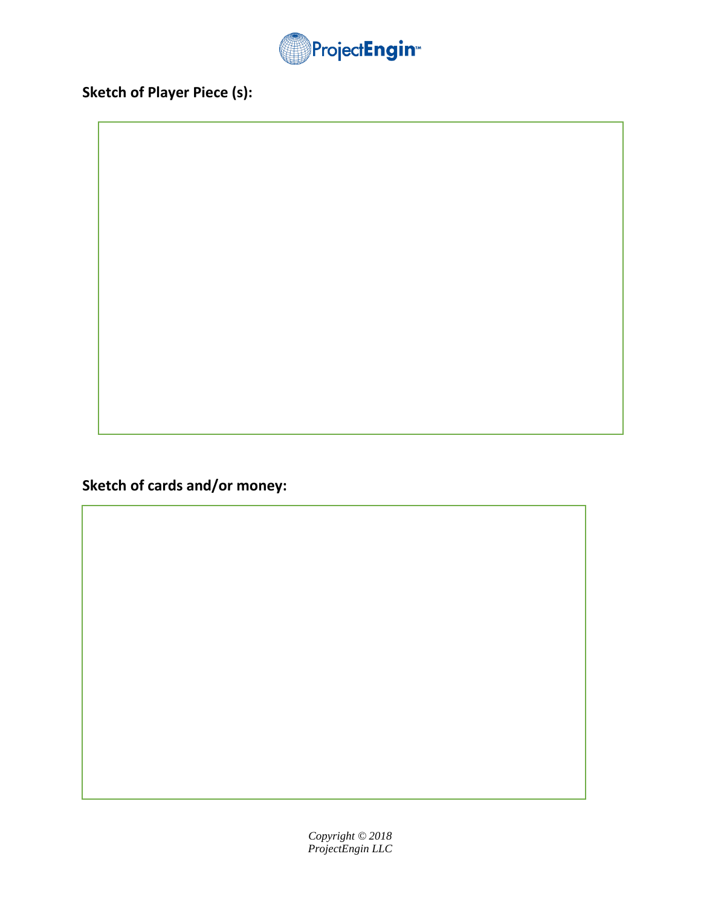

**Sketch of Player Piece (s):**

**Sketch of cards and/or money:**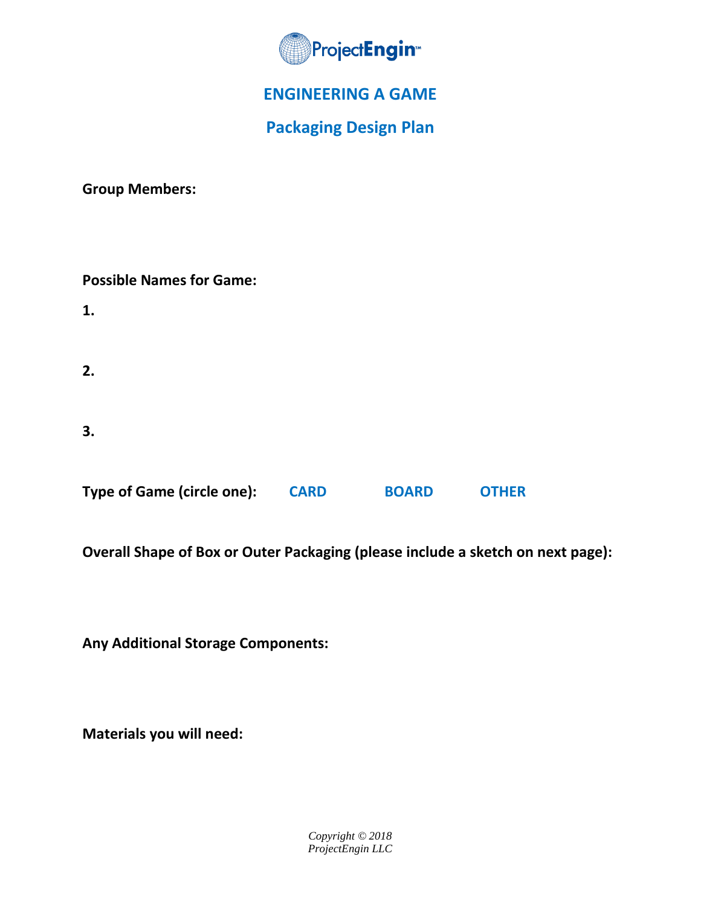

# **ENGINEERING A GAME**

# **Packaging Design Plan**

**Group Members:**

| <b>Possible Names for Game:</b>   |             |              |              |
|-----------------------------------|-------------|--------------|--------------|
| 1.                                |             |              |              |
| 2.                                |             |              |              |
| 3.                                |             |              |              |
| <b>Type of Game (circle one):</b> | <b>CARD</b> | <b>BOARD</b> | <b>OTHER</b> |

**Overall Shape of Box or Outer Packaging (please include a sketch on next page):**

**Any Additional Storage Components:** 

**Materials you will need:**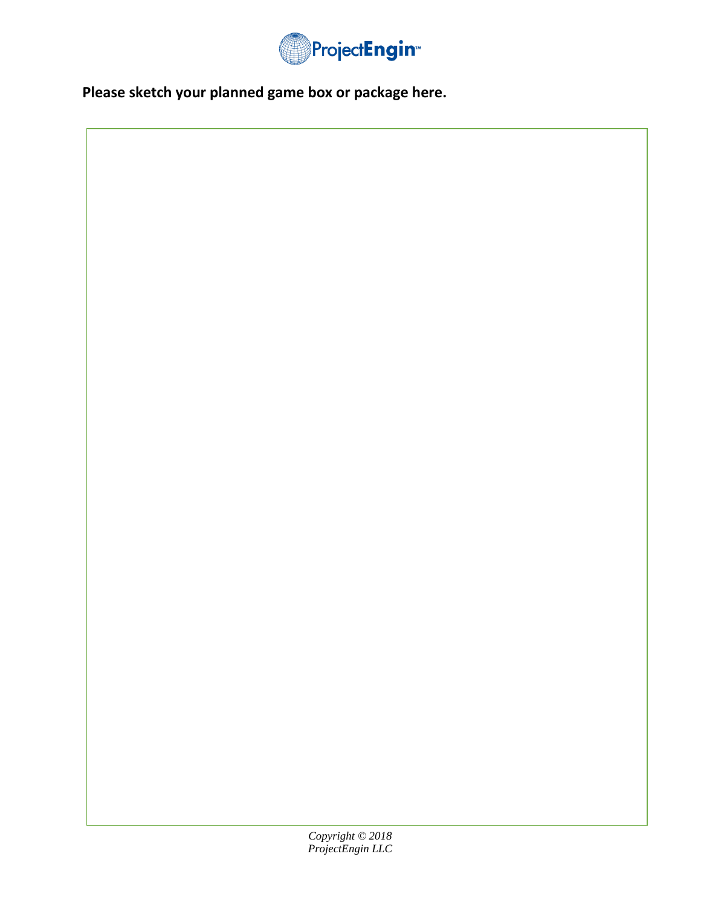

**Please sketch your planned game box or package here.**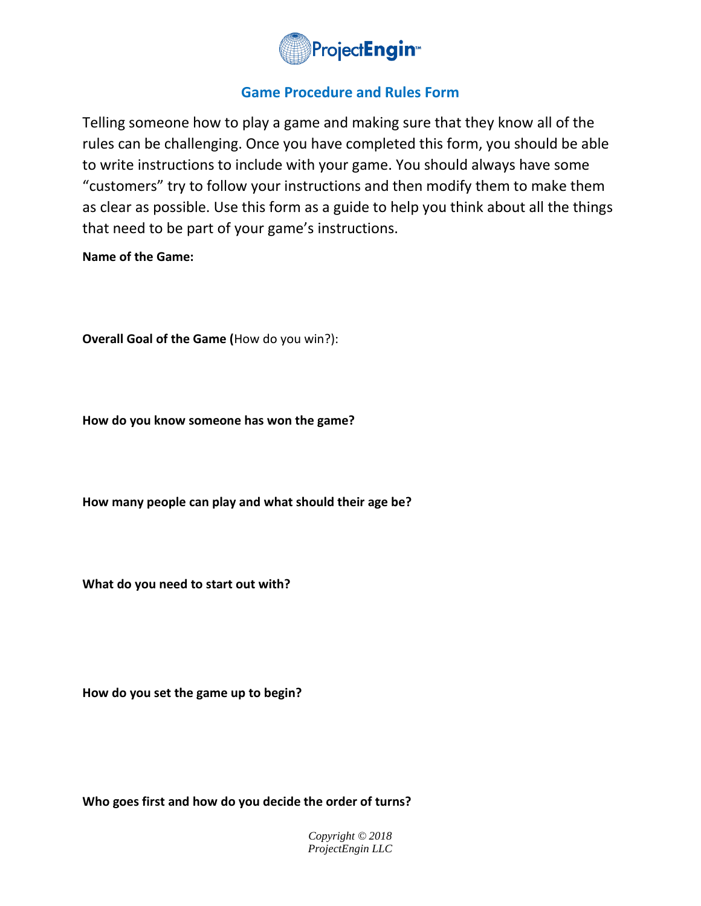

# **Game Procedure and Rules Form**

Telling someone how to play a game and making sure that they know all of the rules can be challenging. Once you have completed this form, you should be able to write instructions to include with your game. You should always have some "customers" try to follow your instructions and then modify them to make them as clear as possible. Use this form as a guide to help you think about all the things that need to be part of your game's instructions.

## **Name of the Game:**

**Overall Goal of the Game (**How do you win?):

**How do you know someone has won the game?**

**How many people can play and what should their age be?**

**What do you need to start out with?**

**How do you set the game up to begin?**

**Who goes first and how do you decide the order of turns?**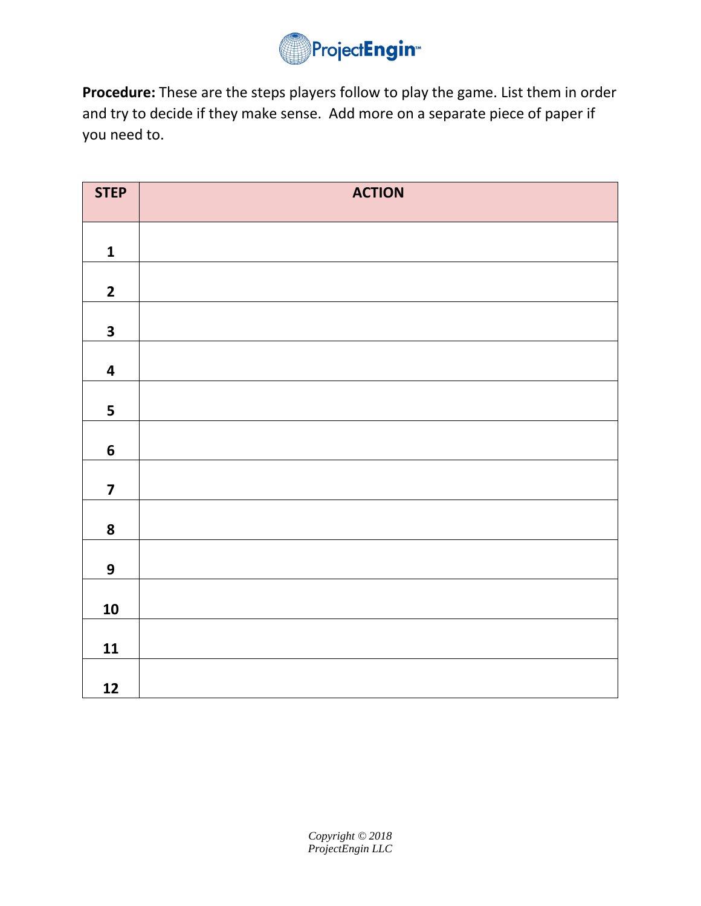

**Procedure:** These are the steps players follow to play the game. List them in order and try to decide if they make sense. Add more on a separate piece of paper if you need to.

| <b>STEP</b>             | <b>ACTION</b> |
|-------------------------|---------------|
| $\mathbf 1$             |               |
|                         |               |
| $\overline{\mathbf{2}}$ |               |
| $\overline{\mathbf{3}}$ |               |
| $\overline{\mathbf{4}}$ |               |
| 5                       |               |
| $\boldsymbol{6}$        |               |
| $\overline{\mathbf{z}}$ |               |
| 8                       |               |
| $\boldsymbol{9}$        |               |
| 10                      |               |
| 11                      |               |
| 12                      |               |